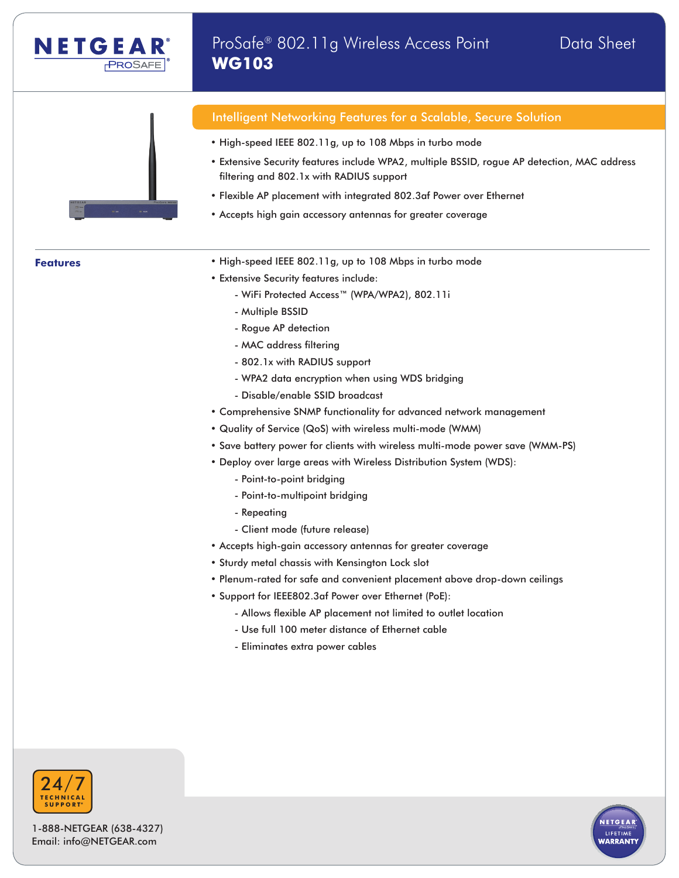

## Intelligent Networking Features for a Scalable, Secure Solution

- High-speed IEEE 802.11g, up to 108 Mbps in turbo mode
- Extensive Security features include WPA2, multiple BSSID, rogue AP detection, MAC address filtering and 802.1x with RADIUS support
- Flexible AP placement with integrated 802.3af Power over Ethernet
- Accepts high gain accessory antennas for greater coverage

- **Features** High-speed IEEE 802.11g, up to 108 Mbps in turbo mode
	- Extensive Security features include:
		- WiFi Protected Access™ (WPA/WPA2), 802.11i
		- Multiple BSSID

**WG103**

- Rogue AP detection
- MAC address filtering
- 802.1x with RADIUS support
- WPA2 data encryption when using WDS bridging
- Disable/enable SSID broadcast
- Comprehensive SNMP functionality for advanced network management
- Quality of Service (QoS) with wireless multi-mode (WMM)
- Save battery power for clients with wireless multi-mode power save (WMM-PS)
- Deploy over large areas with Wireless Distribution System (WDS):
	- Point-to-point bridging
	- Point-to-multipoint bridging
	- Repeating
	- Client mode (future release)
- Accepts high-gain accessory antennas for greater coverage
- Sturdy metal chassis with Kensington Lock slot
- Plenum-rated for safe and convenient placement above drop-down ceilings
- Support for IEEE802.3af Power over Ethernet (PoE):
	- Allows flexible AP placement not limited to outlet location
	- Use full 100 meter distance of Ethernet cable
	- Eliminates extra power cables



1-888-NETGEAR (638-4327) Email: info@NETGEAR.com

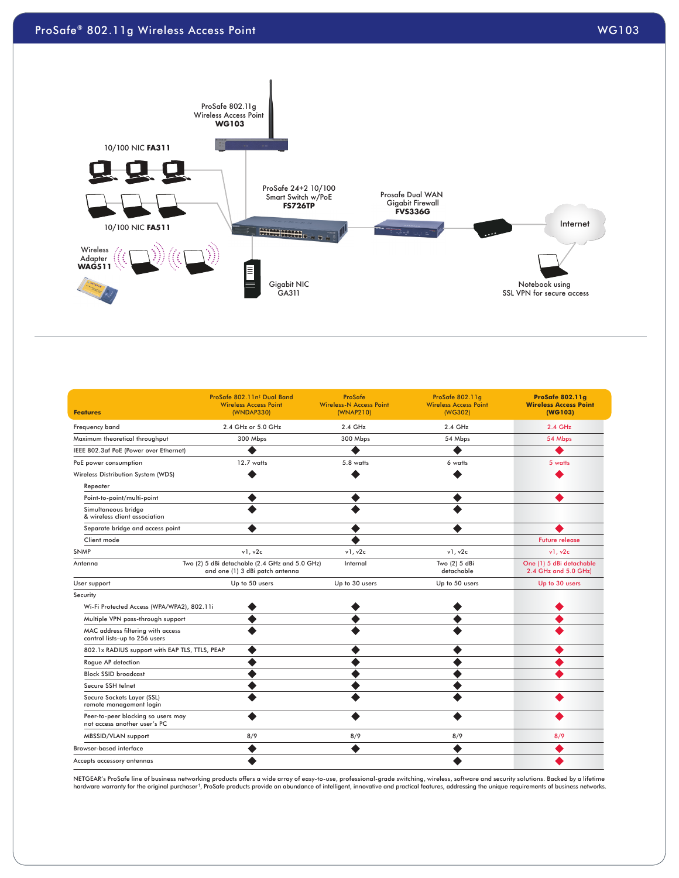



| <b>Features</b>                                                    | ProSafe 802.11n <sup>#</sup> Dual Band<br><b>Wireless Access Point</b><br>(WNDAP330) | <b>ProSafe</b><br><b>Wireless-N Access Point</b><br>(WNAP210) | ProSafe 802.11q<br><b>Wireless Access Point</b><br>(WG302) | <b>ProSafe 802.11g</b><br><b>Wireless Access Point</b><br>(WG103) |
|--------------------------------------------------------------------|--------------------------------------------------------------------------------------|---------------------------------------------------------------|------------------------------------------------------------|-------------------------------------------------------------------|
| Frequency band                                                     | 2.4 GHz or 5.0 GHz                                                                   | 2.4 GHz                                                       | 2.4 GHz                                                    | 2.4 GHz                                                           |
| Maximum theoretical throughput                                     | 300 Mbps                                                                             | 300 Mbps                                                      | 54 Mbps                                                    | 54 Mbps                                                           |
| IEEE 802.3af PoE (Power over Ethernet)                             | $\bullet$                                                                            | $\bullet$                                                     | $\bullet$                                                  | ◉                                                                 |
| PoE power consumption                                              | 12.7 watts                                                                           | 5.8 watts                                                     | 6 watts                                                    | 5 watts                                                           |
| Wireless Distribution System (WDS)                                 | $\bullet$                                                                            | $\bullet$                                                     | $\bullet$                                                  | O                                                                 |
| Repeater                                                           |                                                                                      |                                                               |                                                            |                                                                   |
| Point-to-point/multi-point                                         | $\bullet$                                                                            | $\bullet$                                                     | $\bullet$                                                  | $\bullet$                                                         |
| Simultaneous bridge<br>& wireless client association               | $\bullet$                                                                            | $\bullet$                                                     | $\bullet$                                                  |                                                                   |
| Separate bridge and access point                                   | $\bullet$                                                                            | $\bullet$                                                     | $\bullet$                                                  | $\bullet$                                                         |
| Client mode                                                        |                                                                                      | $\bullet$                                                     |                                                            | <b>Future release</b>                                             |
| <b>SNMP</b>                                                        | v1, v2c                                                                              | v1, v2c                                                       | v1, v2c                                                    | v1, v2c                                                           |
| Antenna                                                            | Two (2) 5 dBi detachable (2.4 GHz and 5.0 GHz)<br>and one (1) 3 dBi patch antenna    | Internal                                                      | Two (2) 5 dBi<br>detachable                                | One (1) 5 dBi detachable<br>2.4 GHz and 5.0 GHz)                  |
| User support                                                       | Up to 50 users                                                                       | Up to 30 users                                                | Up to 50 users                                             | Up to 30 users                                                    |
| Security                                                           |                                                                                      |                                                               |                                                            |                                                                   |
| Wi-Fi Protected Access (WPA/WPA2), 802.11i                         | $\bullet$                                                                            | $\bullet$                                                     | $\bullet$                                                  | $\bullet$                                                         |
| Multiple VPN pass-through support                                  | $\bullet$                                                                            | $\bullet$                                                     | $\bullet$                                                  | ◉                                                                 |
| MAC address filtering with access<br>control lists-up to 256 users | $\bullet$                                                                            | $\bullet$                                                     | $\bullet$                                                  | $\bullet$                                                         |
| 802.1x RADIUS support with EAP TLS, TTLS, PEAP                     | $\bullet$                                                                            | $\bullet$                                                     | $\bullet$                                                  | $\bullet$                                                         |
| Roque AP detection                                                 | $\bullet$                                                                            | $\bullet$                                                     | $\bullet$                                                  | $\bullet$                                                         |
| <b>Block SSID broadcast</b>                                        | $\bullet$                                                                            | $\bullet$                                                     | $\bullet$                                                  | $\bullet$                                                         |
| Secure SSH telnet                                                  | $\bullet$                                                                            | $\bullet$                                                     | $\bullet$                                                  |                                                                   |
| Secure Sockets Layer (SSL)<br>remote management login              | $\bullet$                                                                            | $\bullet$                                                     | $\bullet$                                                  | $\bullet$                                                         |
| Peer-to-peer blocking so users may<br>not access another user's PC | $\bullet$                                                                            | $\bullet$                                                     | $\bullet$                                                  | $\bullet$                                                         |
| MBSSID/VLAN support                                                | 8/9                                                                                  | 8/9                                                           | 8/9                                                        | 8/9                                                               |
| <b>Browser-based interface</b>                                     | $\bullet$                                                                            | $\bullet$                                                     | $\bullet$                                                  | ◉                                                                 |
| Accepts accessory antennas                                         | $\bullet$                                                                            |                                                               | $\bullet$                                                  | ◉                                                                 |

NETGEAR's ProSafe line of business networking products offers a wide array of easy-to-use, professional-grade switching, wireless, software and security solutions. Backed by a lifetime<br>hardware warranty for the original pu